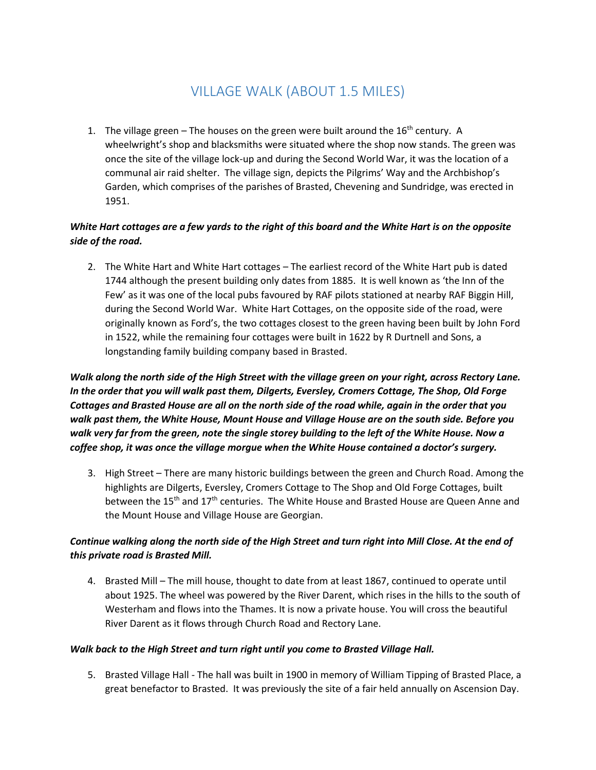# VILLAGE WALK (ABOUT 1.5 MILES)

1. The village green – The houses on the green were built around the  $16<sup>th</sup>$  century. A wheelwright's shop and blacksmiths were situated where the shop now stands. The green was once the site of the village lock-up and during the Second World War, it was the location of a communal air raid shelter. The village sign, depicts the Pilgrims' Way and the Archbishop's Garden, which comprises of the parishes of Brasted, Chevening and Sundridge, was erected in 1951.

# *White Hart cottages are a few yards to the right of this board and the White Hart is on the opposite side of the road.*

2. The White Hart and White Hart cottages – The earliest record of the White Hart pub is dated 1744 although the present building only dates from 1885. It is well known as 'the Inn of the Few' as it was one of the local pubs favoured by RAF pilots stationed at nearby RAF Biggin Hill, during the Second World War. White Hart Cottages, on the opposite side of the road, were originally known as Ford's, the two cottages closest to the green having been built by John Ford in 1522, while the remaining four cottages were built in 1622 by R Durtnell and Sons, a longstanding family building company based in Brasted.

*Walk along the north side of the High Street with the village green on your right, across Rectory Lane. In the order that you will walk past them, Dilgerts, Eversley, Cromers Cottage, The Shop, Old Forge Cottages and Brasted House are all on the north side of the road while, again in the order that you walk past them, the White House, Mount House and Village House are on the south side. Before you walk very far from the green, note the single storey building to the left of the White House. Now a coffee shop, it was once the village morgue when the White House contained a doctor's surgery.* 

3. High Street – There are many historic buildings between the green and Church Road. Among the highlights are Dilgerts, Eversley, Cromers Cottage to The Shop and Old Forge Cottages, built between the 15<sup>th</sup> and 17<sup>th</sup> centuries. The White House and Brasted House are Queen Anne and the Mount House and Village House are Georgian.

## *Continue walking along the north side of the High Street and turn right into Mill Close. At the end of this private road is Brasted Mill.*

4. Brasted Mill – The mill house, thought to date from at least 1867, continued to operate until about 1925. The wheel was powered by the River Darent, which rises in the hills to the south of Westerham and flows into the Thames. It is now a private house. You will cross the beautiful River Darent as it flows through Church Road and Rectory Lane.

#### *Walk back to the High Street and turn right until you come to Brasted Village Hall.*

5. Brasted Village Hall - The hall was built in 1900 in memory of William Tipping of Brasted Place, a great benefactor to Brasted. It was previously the site of a fair held annually on Ascension Day.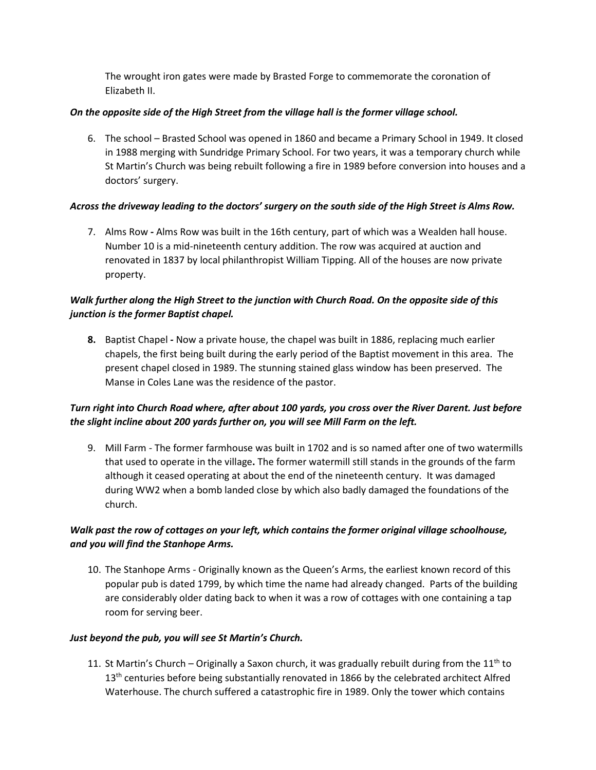The wrought iron gates were made by Brasted Forge to commemorate the coronation of Elizabeth II.

#### *On the opposite side of the High Street from the village hall is the former village school.*

6. The school – Brasted School was opened in 1860 and became a Primary School in 1949. It closed in 1988 merging with Sundridge Primary School. For two years, it was a temporary church while St Martin's Church was being rebuilt following a fire in 1989 before conversion into houses and a doctors' surgery.

#### *Across the driveway leading to the doctors' surgery on the south side of the High Street is Alms Row.*

7. Alms Row *-* Alms Row was built in the 16th century, part of which was a Wealden hall house. Number 10 is a mid-nineteenth century addition. The row was acquired at auction and renovated in 1837 by local philanthropist William Tipping. All of the houses are now private property.

# *Walk further along the High Street to the junction with Church Road. On the opposite side of this junction is the former Baptist chapel.*

**8.** Baptist Chapel *-* Now a private house, the chapel was built in 1886, replacing much earlier chapels, the first being built during the early period of the Baptist movement in this area. The present chapel closed in 1989. The stunning stained glass window has been preserved. The Manse in Coles Lane was the residence of the pastor.

# *Turn right into Church Road where, after about 100 yards, you cross over the River Darent. Just before the slight incline about 200 yards further on, you will see Mill Farm on the left.*

9. Mill Farm - The former farmhouse was built in 1702 and is so named after one of two watermills that used to operate in the village**.** The former watermill still stands in the grounds of the farm although it ceased operating at about the end of the nineteenth century. It was damaged during WW2 when a bomb landed close by which also badly damaged the foundations of the church.

## *Walk past the row of cottages on your left, which contains the former original village schoolhouse, and you will find the Stanhope Arms.*

10. The Stanhope Arms - Originally known as the Queen's Arms, the earliest known record of this popular pub is dated 1799, by which time the name had already changed. Parts of the building are considerably older dating back to when it was a row of cottages with one containing a tap room for serving beer.

#### *Just beyond the pub, you will see St Martin's Church.*

11. St Martin's Church – Originally a Saxon church, it was gradually rebuilt during from the 11<sup>th</sup> to  $13<sup>th</sup>$  centuries before being substantially renovated in 1866 by the celebrated architect Alfred Waterhouse. The church suffered a catastrophic fire in 1989. Only the tower which contains